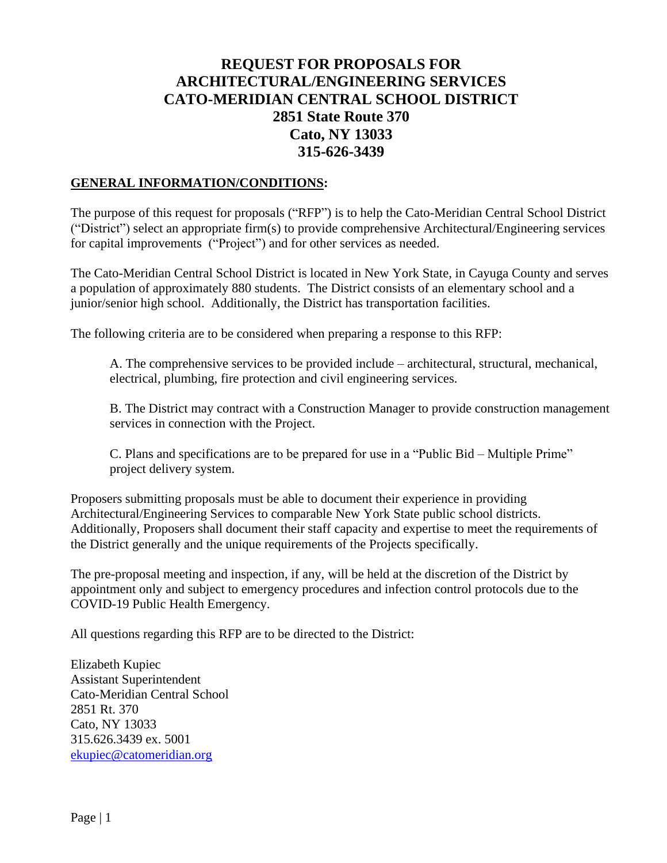# **REQUEST FOR PROPOSALS FOR ARCHITECTURAL/ENGINEERING SERVICES CATO-MERIDIAN CENTRAL SCHOOL DISTRICT 2851 State Route 370 Cato, NY 13033 315-626-3439**

#### **GENERAL INFORMATION/CONDITIONS:**

The purpose of this request for proposals ("RFP") is to help the Cato-Meridian Central School District ("District") select an appropriate firm(s) to provide comprehensive Architectural/Engineering services for capital improvements ("Project") and for other services as needed.

The Cato-Meridian Central School District is located in New York State, in Cayuga County and serves a population of approximately 880 students. The District consists of an elementary school and a junior/senior high school. Additionally, the District has transportation facilities.

The following criteria are to be considered when preparing a response to this RFP:

A. The comprehensive services to be provided include – architectural, structural, mechanical, electrical, plumbing, fire protection and civil engineering services.

B. The District may contract with a Construction Manager to provide construction management services in connection with the Project.

C. Plans and specifications are to be prepared for use in a "Public Bid – Multiple Prime" project delivery system.

Proposers submitting proposals must be able to document their experience in providing Architectural/Engineering Services to comparable New York State public school districts. Additionally, Proposers shall document their staff capacity and expertise to meet the requirements of the District generally and the unique requirements of the Projects specifically.

The pre-proposal meeting and inspection, if any, will be held at the discretion of the District by appointment only and subject to emergency procedures and infection control protocols due to the COVID-19 Public Health Emergency.

All questions regarding this RFP are to be directed to the District:

Elizabeth Kupiec Assistant Superintendent Cato-Meridian Central School 2851 Rt. 370 Cato, NY 13033 315.626.3439 ex. 5001 [ekupiec@catomeridian.org](mailto:ekupiec@catomeridian.org)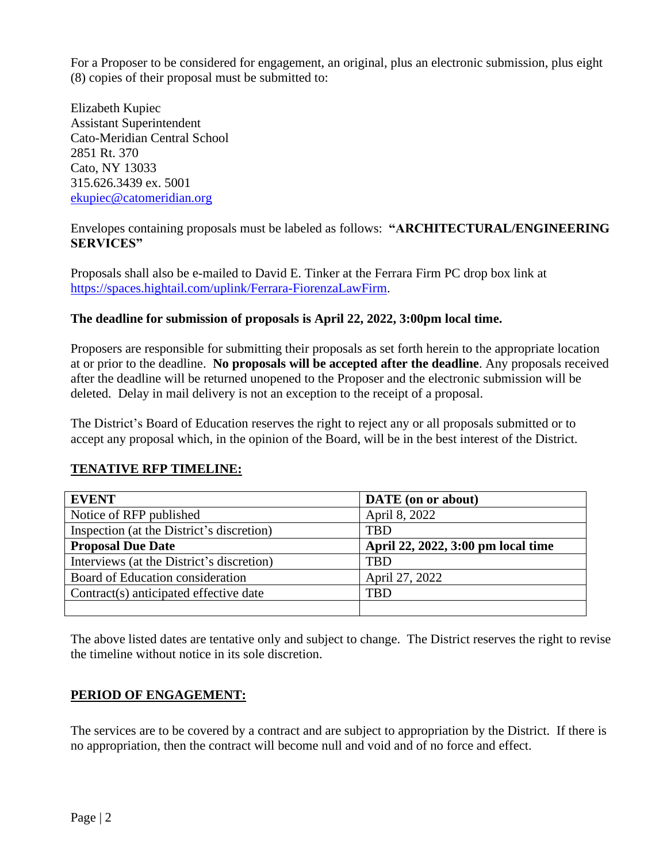For a Proposer to be considered for engagement, an original, plus an electronic submission, plus eight (8) copies of their proposal must be submitted to:

Elizabeth Kupiec Assistant Superintendent Cato-Meridian Central School 2851 Rt. 370 Cato, NY 13033 315.626.3439 ex. 5001 [ekupiec@catomeridian.org](mailto:ekupiec@catomeridian.org)

Envelopes containing proposals must be labeled as follows: **"ARCHITECTURAL/ENGINEERING SERVICES"**

Proposals shall also be e-mailed to David E. Tinker at the Ferrara Firm PC drop box link at [https://spaces.hightail.com/uplink/Ferrara-FiorenzaLawFirm.](https://spaces.hightail.com/uplink/Ferrara-FiorenzaLawFirm)

### **The deadline for submission of proposals is April 22, 2022, 3:00pm local time.**

Proposers are responsible for submitting their proposals as set forth herein to the appropriate location at or prior to the deadline. **No proposals will be accepted after the deadline**. Any proposals received after the deadline will be returned unopened to the Proposer and the electronic submission will be deleted. Delay in mail delivery is not an exception to the receipt of a proposal.

The District's Board of Education reserves the right to reject any or all proposals submitted or to accept any proposal which, in the opinion of the Board, will be in the best interest of the District.

### **TENATIVE RFP TIMELINE:**

| <b>EVENT</b>                              | <b>DATE</b> (on or about)          |
|-------------------------------------------|------------------------------------|
| Notice of RFP published                   | April 8, 2022                      |
| Inspection (at the District's discretion) | TBD                                |
| <b>Proposal Due Date</b>                  | April 22, 2022, 3:00 pm local time |
| Interviews (at the District's discretion) | TBD                                |
| Board of Education consideration          | April 27, 2022                     |
| Contract(s) anticipated effective date    | TBD                                |
|                                           |                                    |

The above listed dates are tentative only and subject to change. The District reserves the right to revise the timeline without notice in its sole discretion.

## **PERIOD OF ENGAGEMENT:**

The services are to be covered by a contract and are subject to appropriation by the District. If there is no appropriation, then the contract will become null and void and of no force and effect.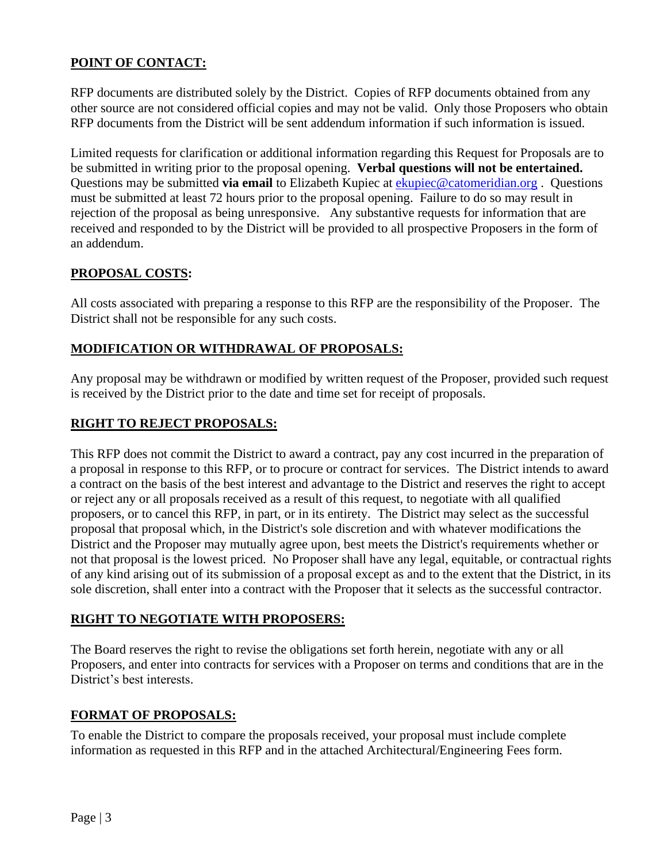## **POINT OF CONTACT:**

RFP documents are distributed solely by the District. Copies of RFP documents obtained from any other source are not considered official copies and may not be valid. Only those Proposers who obtain RFP documents from the District will be sent addendum information if such information is issued.

Limited requests for clarification or additional information regarding this Request for Proposals are to be submitted in writing prior to the proposal opening. **Verbal questions will not be entertained.** Questions may be submitted **via email** to Elizabeth Kupiec at [ekupiec@catomeridian.org](mailto:ekupiec@catomeridian.org). Questions must be submitted at least 72 hours prior to the proposal opening. Failure to do so may result in rejection of the proposal as being unresponsive. Any substantive requests for information that are received and responded to by the District will be provided to all prospective Proposers in the form of an addendum.

### **PROPOSAL COSTS:**

All costs associated with preparing a response to this RFP are the responsibility of the Proposer. The District shall not be responsible for any such costs.

### **MODIFICATION OR WITHDRAWAL OF PROPOSALS:**

Any proposal may be withdrawn or modified by written request of the Proposer, provided such request is received by the District prior to the date and time set for receipt of proposals.

#### **RIGHT TO REJECT PROPOSALS:**

This RFP does not commit the District to award a contract, pay any cost incurred in the preparation of a proposal in response to this RFP, or to procure or contract for services. The District intends to award a contract on the basis of the best interest and advantage to the District and reserves the right to accept or reject any or all proposals received as a result of this request, to negotiate with all qualified proposers, or to cancel this RFP, in part, or in its entirety. The District may select as the successful proposal that proposal which, in the District's sole discretion and with whatever modifications the District and the Proposer may mutually agree upon, best meets the District's requirements whether or not that proposal is the lowest priced. No Proposer shall have any legal, equitable, or contractual rights of any kind arising out of its submission of a proposal except as and to the extent that the District, in its sole discretion, shall enter into a contract with the Proposer that it selects as the successful contractor.

### **RIGHT TO NEGOTIATE WITH PROPOSERS:**

The Board reserves the right to revise the obligations set forth herein, negotiate with any or all Proposers, and enter into contracts for services with a Proposer on terms and conditions that are in the District's best interests.

### **FORMAT OF PROPOSALS:**

To enable the District to compare the proposals received, your proposal must include complete information as requested in this RFP and in the attached Architectural/Engineering Fees form.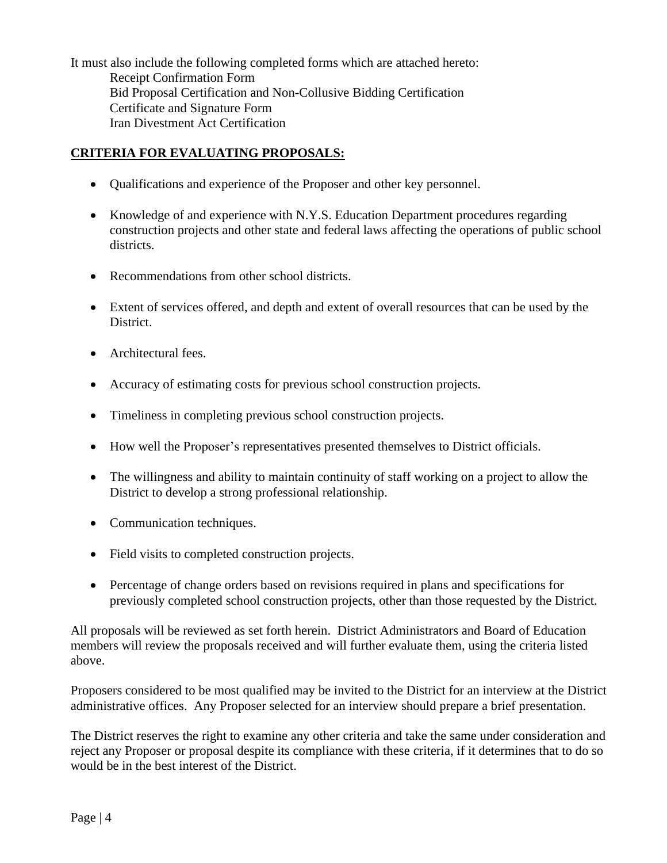It must also include the following completed forms which are attached hereto: Receipt Confirmation Form Bid Proposal Certification and Non-Collusive Bidding Certification Certificate and Signature Form Iran Divestment Act Certification

## **CRITERIA FOR EVALUATING PROPOSALS:**

- Oualifications and experience of the Proposer and other key personnel.
- Knowledge of and experience with N.Y.S. Education Department procedures regarding construction projects and other state and federal laws affecting the operations of public school districts.
- Recommendations from other school districts.
- Extent of services offered, and depth and extent of overall resources that can be used by the District.
- Architectural fees.
- Accuracy of estimating costs for previous school construction projects.
- Timeliness in completing previous school construction projects.
- How well the Proposer's representatives presented themselves to District officials.
- The willingness and ability to maintain continuity of staff working on a project to allow the District to develop a strong professional relationship.
- Communication techniques.
- Field visits to completed construction projects.
- Percentage of change orders based on revisions required in plans and specifications for previously completed school construction projects, other than those requested by the District.

All proposals will be reviewed as set forth herein. District Administrators and Board of Education members will review the proposals received and will further evaluate them, using the criteria listed above.

Proposers considered to be most qualified may be invited to the District for an interview at the District administrative offices. Any Proposer selected for an interview should prepare a brief presentation.

The District reserves the right to examine any other criteria and take the same under consideration and reject any Proposer or proposal despite its compliance with these criteria, if it determines that to do so would be in the best interest of the District.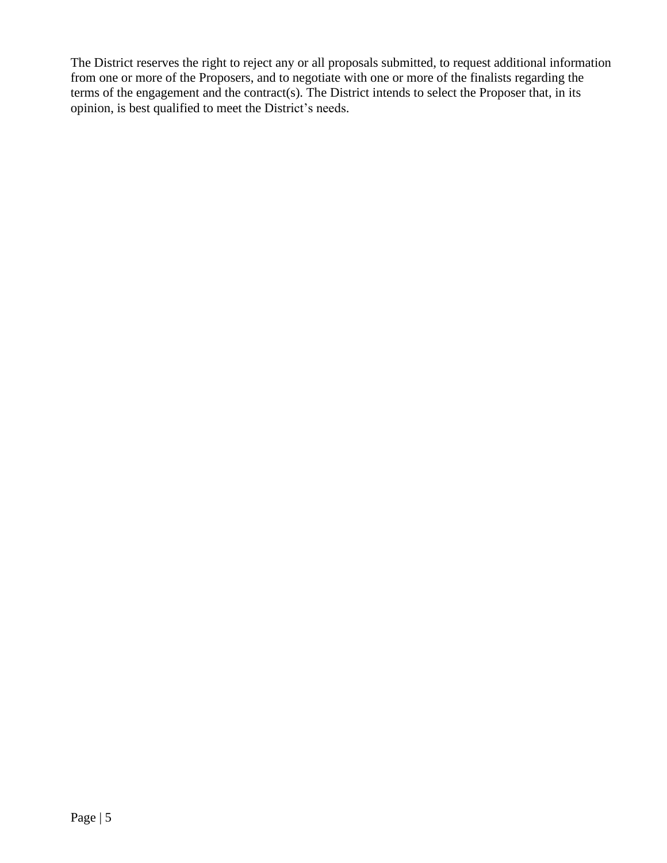The District reserves the right to reject any or all proposals submitted, to request additional information from one or more of the Proposers, and to negotiate with one or more of the finalists regarding the terms of the engagement and the contract(s). The District intends to select the Proposer that, in its opinion, is best qualified to meet the District's needs.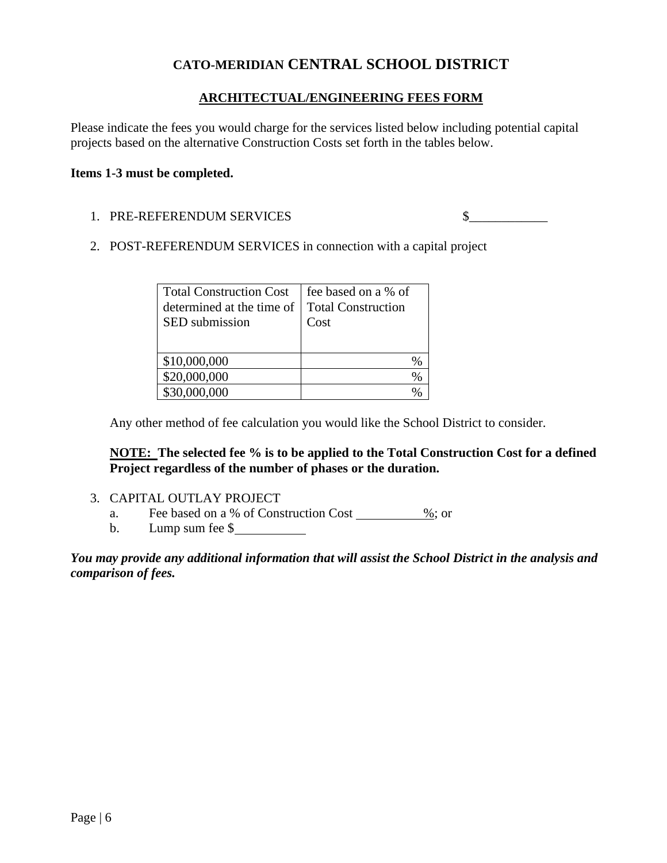# **CATO-MERIDIAN CENTRAL SCHOOL DISTRICT**

### **ARCHITECTUAL/ENGINEERING FEES FORM**

Please indicate the fees you would charge for the services listed below including potential capital projects based on the alternative Construction Costs set forth in the tables below.

#### **Items 1-3 must be completed.**

1. PRE-REFERENDUM SERVICES \$

2. POST-REFERENDUM SERVICES in connection with a capital project

| <b>Total Construction Cost</b><br>determined at the time of<br>SED submission | fee based on a % of<br><b>Total Construction</b><br>Cost |
|-------------------------------------------------------------------------------|----------------------------------------------------------|
| \$10,000,000                                                                  | %                                                        |
| \$20,000,000                                                                  | %                                                        |
| \$30,000,000                                                                  |                                                          |

Any other method of fee calculation you would like the School District to consider.

**NOTE: The selected fee % is to be applied to the Total Construction Cost for a defined Project regardless of the number of phases or the duration.**

- 3. CAPITAL OUTLAY PROJECT
	- a. Fee based on a % of Construction Cost %; or
	- b. Lump sum fee \$

*You may provide any additional information that will assist the School District in the analysis and comparison of fees.*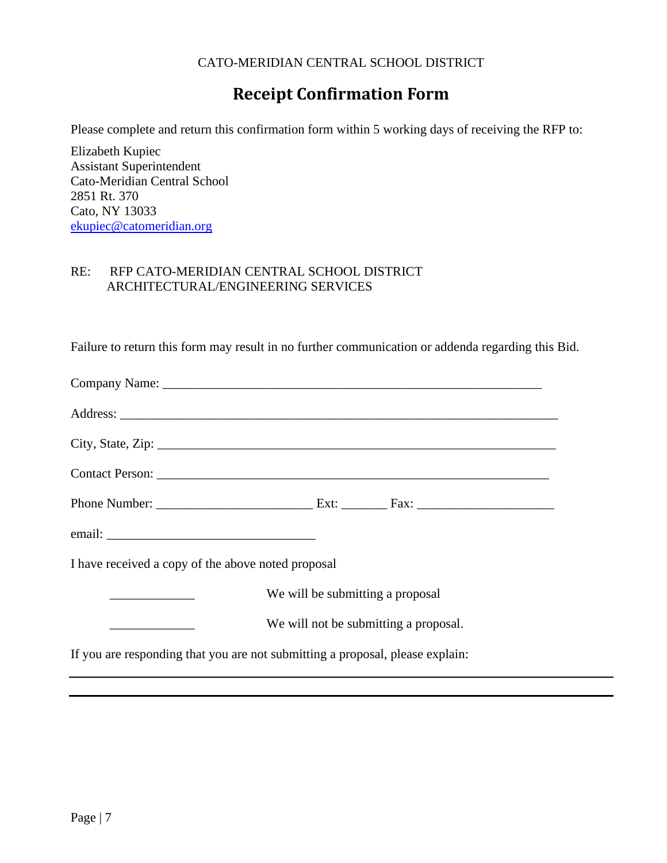#### CATO-MERIDIAN CENTRAL SCHOOL DISTRICT

# **Receipt Confirmation Form**

Please complete and return this confirmation form within 5 working days of receiving the RFP to:

Elizabeth Kupiec Assistant Superintendent Cato-Meridian Central School 2851 Rt. 370 Cato, NY 13033 [ekupiec@catomeridian.org](mailto:ekupiec@catomeridian.org)

#### RE: RFP CATO-MERIDIAN CENTRAL SCHOOL DISTRICT ARCHITECTURAL/ENGINEERING SERVICES

Failure to return this form may result in no further communication or addenda regarding this Bid.

| I have received a copy of the above noted proposal |                                                                               |
|----------------------------------------------------|-------------------------------------------------------------------------------|
| We will be submitting a proposal                   |                                                                               |
|                                                    | We will not be submitting a proposal.                                         |
|                                                    | If you are responding that you are not submitting a proposal, please explain: |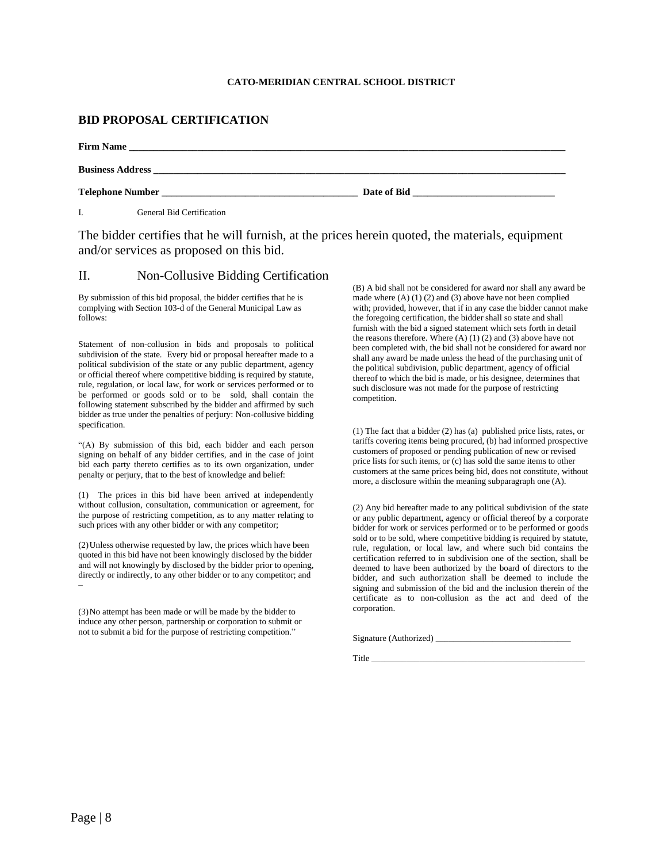#### **CATO-MERIDIAN CENTRAL SCHOOL DISTRICT**

#### **BID PROPOSAL CERTIFICATION**

| <b>Firm Name</b>                 |                                  |  |
|----------------------------------|----------------------------------|--|
|                                  |                                  |  |
| <b>Telephone Number</b>          | Date of Bid and the state of Bid |  |
| <b>General Bid Certification</b> |                                  |  |

The bidder certifies that he will furnish, at the prices herein quoted, the materials, equipment and/or services as proposed on this bid.

#### II. Non-Collusive Bidding Certification

By submission of this bid proposal, the bidder certifies that he is complying with Section 103-d of the General Municipal Law as follows:

Statement of non-collusion in bids and proposals to political subdivision of the state. Every bid or proposal hereafter made to a political subdivision of the state or any public department, agency or official thereof where competitive bidding is required by statute, rule, regulation, or local law, for work or services performed or to be performed or goods sold or to be sold, shall contain the following statement subscribed by the bidder and affirmed by such bidder as true under the penalties of perjury: Non-collusive bidding specification.

"(A) By submission of this bid, each bidder and each person signing on behalf of any bidder certifies, and in the case of joint bid each party thereto certifies as to its own organization, under penalty or perjury, that to the best of knowledge and belief:

(1) The prices in this bid have been arrived at independently without collusion, consultation, communication or agreement, for the purpose of restricting competition, as to any matter relating to such prices with any other bidder or with any competitor;

(2)Unless otherwise requested by law, the prices which have been quoted in this bid have not been knowingly disclosed by the bidder and will not knowingly by disclosed by the bidder prior to opening, directly or indirectly, to any other bidder or to any competitor; and –

(3)No attempt has been made or will be made by the bidder to induce any other person, partnership or corporation to submit or not to submit a bid for the purpose of restricting competition."

(B) A bid shall not be considered for award nor shall any award be made where (A) (1) (2) and (3) above have not been complied with; provided, however, that if in any case the bidder cannot make the foregoing certification, the bidder shall so state and shall furnish with the bid a signed statement which sets forth in detail the reasons therefore. Where  $(A)$   $(1)$   $(2)$  and  $(3)$  above have not been completed with, the bid shall not be considered for award nor shall any award be made unless the head of the purchasing unit of the political subdivision, public department, agency of official thereof to which the bid is made, or his designee, determines that such disclosure was not made for the purpose of restricting competition.

(1) The fact that a bidder (2) has (a) published price lists, rates, or tariffs covering items being procured, (b) had informed prospective customers of proposed or pending publication of new or revised price lists for such items, or (c) has sold the same items to other customers at the same prices being bid, does not constitute, without more, a disclosure within the meaning subparagraph one (A).

(2) Any bid hereafter made to any political subdivision of the state or any public department, agency or official thereof by a corporate bidder for work or services performed or to be performed or goods sold or to be sold, where competitive bidding is required by statute, rule, regulation, or local law, and where such bid contains the certification referred to in subdivision one of the section, shall be deemed to have been authorized by the board of directors to the bidder, and such authorization shall be deemed to include the signing and submission of the bid and the inclusion therein of the certificate as to non-collusion as the act and deed of the corporation.

Signature (Authorized) \_\_\_\_\_\_\_\_\_\_\_\_\_\_\_\_\_\_\_\_\_\_\_\_\_\_\_\_\_\_\_

Title \_\_\_\_\_\_\_\_\_\_\_\_\_\_\_\_\_\_\_\_\_\_\_\_\_\_\_\_\_\_\_\_\_\_\_\_\_\_\_\_\_\_\_\_\_\_\_\_\_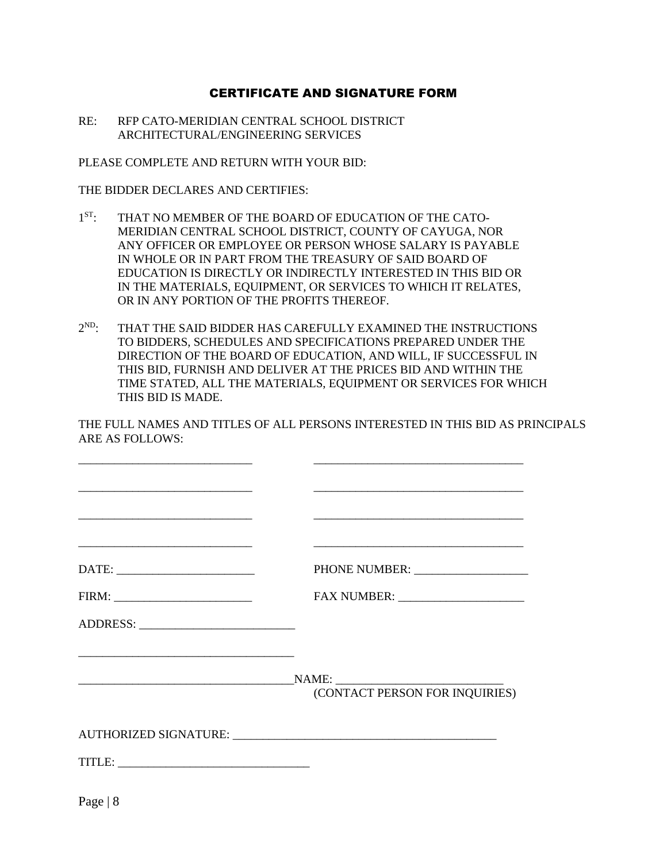#### CERTIFICATE AND SIGNATURE FORM

RE: RFP CATO-MERIDIAN CENTRAL SCHOOL DISTRICT ARCHITECTURAL/ENGINEERING SERVICES

PLEASE COMPLETE AND RETURN WITH YOUR BID:

THE BIDDER DECLARES AND CERTIFIES:

- $1<sub>ST</sub>$ . THAT NO MEMBER OF THE BOARD OF EDUCATION OF THE CATO-MERIDIAN CENTRAL SCHOOL DISTRICT, COUNTY OF CAYUGA, NOR ANY OFFICER OR EMPLOYEE OR PERSON WHOSE SALARY IS PAYABLE IN WHOLE OR IN PART FROM THE TREASURY OF SAID BOARD OF EDUCATION IS DIRECTLY OR INDIRECTLY INTERESTED IN THIS BID OR IN THE MATERIALS, EQUIPMENT, OR SERVICES TO WHICH IT RELATES, OR IN ANY PORTION OF THE PROFITS THEREOF.
- $2<sup>ND</sup>$ . THAT THE SAID BIDDER HAS CAREFULLY EXAMINED THE INSTRUCTIONS TO BIDDERS, SCHEDULES AND SPECIFICATIONS PREPARED UNDER THE DIRECTION OF THE BOARD OF EDUCATION, AND WILL, IF SUCCESSFUL IN THIS BID, FURNISH AND DELIVER AT THE PRICES BID AND WITHIN THE TIME STATED, ALL THE MATERIALS, EQUIPMENT OR SERVICES FOR WHICH THIS BID IS MADE.

THE FULL NAMES AND TITLES OF ALL PERSONS INTERESTED IN THIS BID AS PRINCIPALS ARE AS FOLLOWS:

|           | <u> 1989 - Johann Harry Barn, mars and de Branch and de Branch and de Branch and de Branch and de Branch and de B</u> |
|-----------|-----------------------------------------------------------------------------------------------------------------------|
|           |                                                                                                                       |
|           |                                                                                                                       |
|           |                                                                                                                       |
|           |                                                                                                                       |
|           |                                                                                                                       |
|           | (CONTACT PERSON FOR INQUIRIES)                                                                                        |
|           |                                                                                                                       |
|           |                                                                                                                       |
| Page $ 8$ |                                                                                                                       |